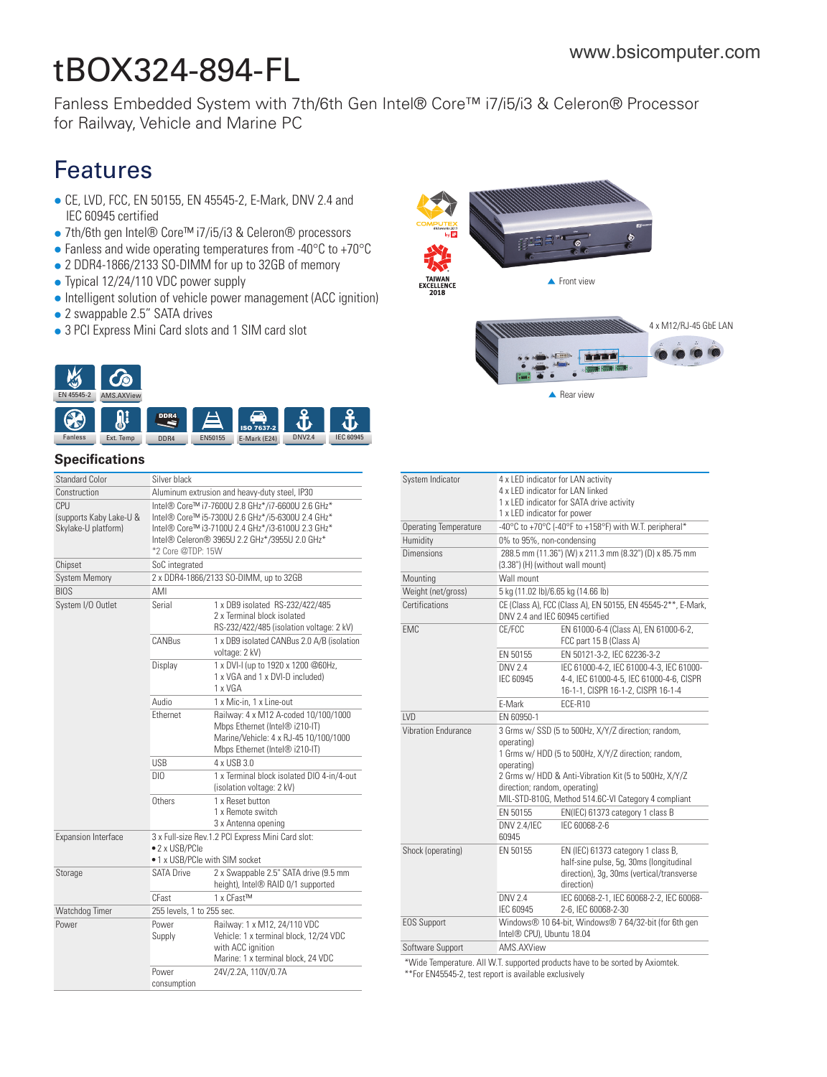# tBOX324-894-FL

[Fanless Embedded System with 7th/6th Gen Intel® Core™ i7/i5/i3 & Celeron® Processor](https://www.bsicomputer.com/products/tbox324-894-fl-21402)  for Railway, Vehicle and Marine PC

## Features

- CE, LVD, FCC, EN 50155, EN 45545-2, E-Mark, DNV 2.4 and IEC 60945 certified
- 7th/6th gen Intel® Core™ i7/i5/i3 & Celeron® processors
- $\bullet$  Fanless and wide operating temperatures from -40 $\degree$ C to +70 $\degree$ C
- 2 DDR4-1866/2133 SO-DIMM for up to 32GB of memory
- Typical 12/24/110 VDC power supply
- Intelligent solution of vehicle power management (ACC ignition)
- 2 swappable 2.5" SATA drives
- 3 PCI Express Mini Card slots and 1 SIM card slot



### **Specifications**

| <b>Standard Color</b>                                 | Silver black                                                                                                                                                                                                                   |                                                                                                                                                   |  |
|-------------------------------------------------------|--------------------------------------------------------------------------------------------------------------------------------------------------------------------------------------------------------------------------------|---------------------------------------------------------------------------------------------------------------------------------------------------|--|
| Construction                                          |                                                                                                                                                                                                                                | Aluminum extrusion and heavy-duty steel, IP30                                                                                                     |  |
| CPU<br>(supports Kaby Lake-U &<br>Skylake-U platform) | Intel® Core™ i7-7600U 2.8 GHz*/i7-6600U 2.6 GHz*<br>Intel® Core™ i5-7300U 2.6 GHz*/i5-6300U 2.4 GHz*<br>Intel® Core™ i3-7100U 2.4 GHz*/i3-6100U 2.3 GHz*<br>Intel® Celeron® 3965U 2.2 GHz*/3955U 2.0 GHz*<br>*2 Core @TDP: 15W |                                                                                                                                                   |  |
| Chipset                                               | SoC integrated                                                                                                                                                                                                                 |                                                                                                                                                   |  |
| <b>System Memory</b>                                  | 2 x DDR4-1866/2133 SO-DIMM, up to 32GB                                                                                                                                                                                         |                                                                                                                                                   |  |
| <b>BIOS</b>                                           | AMI                                                                                                                                                                                                                            |                                                                                                                                                   |  |
| System I/O Outlet                                     | Serial                                                                                                                                                                                                                         | 1 x DB9 isolated RS-232/422/485<br>2 x Terminal block isolated<br>RS-232/422/485 (isolation voltage: 2 kV)                                        |  |
|                                                       | CANBus                                                                                                                                                                                                                         | 1 x DB9 isolated CANBus 2.0 A/B (isolation<br>voltage: 2 kV)                                                                                      |  |
|                                                       | Display                                                                                                                                                                                                                        | 1 x DVI-I (up to 1920 x 1200 @60Hz,<br>1 x VGA and 1 x DVI-D included)<br>1 x VGA                                                                 |  |
|                                                       | <b>Audio</b>                                                                                                                                                                                                                   | 1 x Mic-in, 1 x Line-out                                                                                                                          |  |
|                                                       | Fthernet                                                                                                                                                                                                                       | Railway: 4 x M12 A-coded 10/100/1000<br>Mbps Ethernet (Intel® i210-IT)<br>Marine/Vehicle: 4 x RJ-45 10/100/1000<br>Mbps Ethernet (Intel® i210-IT) |  |
|                                                       | <b>USB</b>                                                                                                                                                                                                                     | 4 x USB 3.0                                                                                                                                       |  |
|                                                       | DIO.                                                                                                                                                                                                                           | 1 x Terminal block isolated DIO 4-in/4-out<br>(isolation voltage: 2 kV)                                                                           |  |
|                                                       | Others                                                                                                                                                                                                                         | 1 x Reset button<br>1 x Remote switch<br>3 x Antenna opening                                                                                      |  |
| <b>Expansion Interface</b>                            | 3 x Full-size Rev.1.2 PCI Express Mini Card slot:<br>● 2 x USB/PCle<br>• 1 x USB/PCIe with SIM socket                                                                                                                          |                                                                                                                                                   |  |
| Storage                                               | <b>SATA Drive</b>                                                                                                                                                                                                              | 2 x Swappable 2.5" SATA drive (9.5 mm<br>height), Intel® RAID 0/1 supported                                                                       |  |
|                                                       | CFast                                                                                                                                                                                                                          | 1 x CFast™                                                                                                                                        |  |
| Watchdog Timer                                        | 255 levels, 1 to 255 sec.                                                                                                                                                                                                      |                                                                                                                                                   |  |
| Power                                                 | Power<br>Supply                                                                                                                                                                                                                | Railway: 1 x M12, 24/110 VDC<br>Vehicle: 1 x terminal block, 12/24 VDC<br>with ACC ignition<br>Marine: 1 x terminal block, 24 VDC                 |  |
|                                                       | Power<br>consumption                                                                                                                                                                                                           | 24V/2.2A, 110V/0.7A                                                                                                                               |  |

| System Indicator             | 4 x LED indicator for LAN activity<br>4 x LED indicator for LAN linked<br>1 x LED indicator for SATA drive activity                    |                                                                                                                                          |  |
|------------------------------|----------------------------------------------------------------------------------------------------------------------------------------|------------------------------------------------------------------------------------------------------------------------------------------|--|
|                              | 1 x LED indicator for power                                                                                                            |                                                                                                                                          |  |
| <b>Operating Temperature</b> | -40°C to +70°C (-40°F to +158°F) with W.T. peripheral*                                                                                 |                                                                                                                                          |  |
| Humidity                     | 0% to 95%, non-condensing                                                                                                              |                                                                                                                                          |  |
| <b>Dimensions</b>            | 288.5 mm (11.36") (W) x 211.3 mm (8.32") (D) x 85.75 mm<br>(3.38") (H) (without wall mount)                                            |                                                                                                                                          |  |
| Mounting                     | Wall mount                                                                                                                             |                                                                                                                                          |  |
| Weight (net/gross)           | 5 kg (11.02 lb)/6.65 kg (14.66 lb)                                                                                                     |                                                                                                                                          |  |
| Certifications               | CE (Class A), FCC (Class A), EN 50155, EN 45545-2**, E-Mark,<br>DNV 2.4 and IEC 60945 certified                                        |                                                                                                                                          |  |
| <b>EMC</b>                   | CE/FCC                                                                                                                                 | EN 61000-6-4 (Class A), EN 61000-6-2,<br>FCC part 15 B (Class A)                                                                         |  |
|                              | EN 50155                                                                                                                               | EN 50121-3-2, IEC 62236-3-2                                                                                                              |  |
|                              | DNV 2.4<br>IEC 60945                                                                                                                   | IEC 61000-4-2, IEC 61000-4-3, IEC 61000-<br>4-4, IEC 61000-4-5, IEC 61000-4-6, CISPR<br>16-1-1, CISPR 16-1-2, CISPR 16-1-4               |  |
|                              | E-Mark                                                                                                                                 | ECE-R10                                                                                                                                  |  |
| <b>IVD</b>                   | FN 60950-1                                                                                                                             |                                                                                                                                          |  |
| <b>Vibration Fndurance</b>   | 3 Grms w/ SSD (5 to 500Hz, X/Y/Z direction; random,<br>operating)<br>1 Grms w/ HDD (5 to 500Hz, X/Y/Z direction; random,<br>operating) |                                                                                                                                          |  |
|                              | 2 Grms w/ HDD & Anti-Vibration Kit (5 to 500Hz, X/Y/Z<br>direction; random, operating)                                                 |                                                                                                                                          |  |
|                              | MIL-STD-810G, Method 514.6C-VI Category 4 compliant                                                                                    |                                                                                                                                          |  |
|                              | EN 50155                                                                                                                               | EN(IEC) 61373 category 1 class B                                                                                                         |  |
|                              | <b>DNV 2.4/IEC</b><br>60945                                                                                                            | IFC 60068-2-6                                                                                                                            |  |
| Shock (operating)            | EN 50155                                                                                                                               | EN (IEC) 61373 category 1 class B,<br>half-sine pulse, 5q, 30ms (longitudinal<br>direction), 3g, 30ms (vertical/transverse<br>direction) |  |
|                              | DNV 2.4<br>IFC 60945                                                                                                                   | IEC 60068-2-1, IEC 60068-2-2, IEC 60068-<br>2-6, IEC 60068-2-30                                                                          |  |
| <b>EOS Support</b>           | Windows® 10 64-bit, Windows® 7 64/32-bit (for 6th gen<br>Intel® CPU), Ubuntu 18.04                                                     |                                                                                                                                          |  |
| Software Support             | <b>AMS.AXView</b>                                                                                                                      |                                                                                                                                          |  |
|                              |                                                                                                                                        |                                                                                                                                          |  |

\*Wide Temperature. All W.T. supported products have to be sorted by Axiomtek. \*\*For EN45545-2, test report is available exclusively